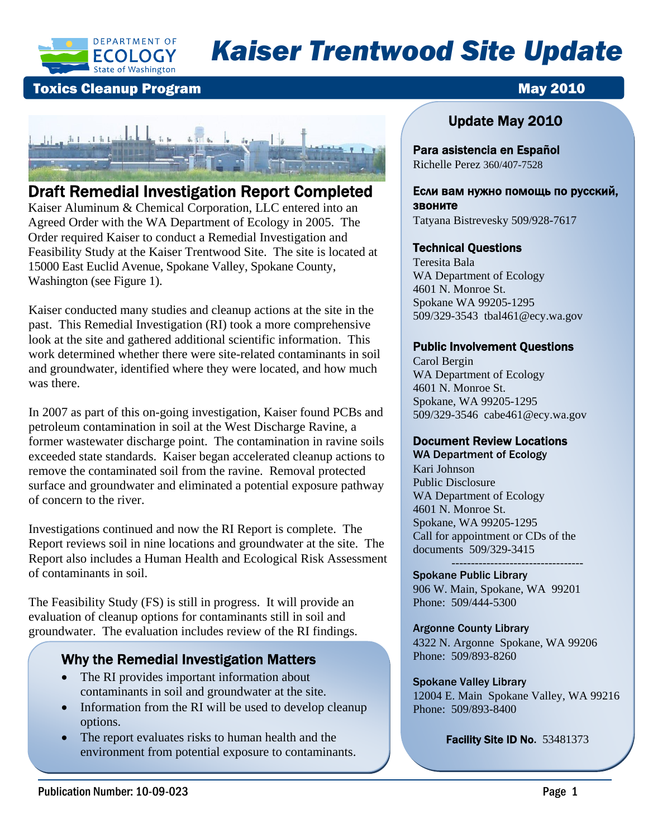

# *Kaiser Trentwood Site Update*

### **Toxics Cleanup Program May 2010**



### Draft Remedial Investigation Report Completed

Kaiser Aluminum & Chemical Corporation, LLC entered into an Agreed Order with the WA Department of Ecology in 2005. The Order required Kaiser to conduct a Remedial Investigation and Feasibility Study at the Kaiser Trentwood Site. The site is located at 15000 East Euclid Avenue, Spokane Valley, Spokane County, Washington (see Figure 1).

Kaiser conducted many studies and cleanup actions at the site in the past. This Remedial Investigation (RI) took a more comprehensive look at the site and gathered additional scientific information. This work determined whether there were site-related contaminants in soil and groundwater, identified where they were located, and how much was there.

In 2007 as part of this on-going investigation, Kaiser found PCBs and petroleum contamination in soil at the West Discharge Ravine, a former wastewater discharge point. The contamination in ravine soils exceeded state standards. Kaiser began accelerated cleanup actions to remove the contaminated soil from the ravine. Removal protected surface and groundwater and eliminated a potential exposure pathway of concern to the river.

Investigations continued and now the RI Report is complete. The Report reviews soil in nine locations and groundwater at the site. The Report also includes a Human Health and Ecological Risk Assessment of contaminants in soil.

The Feasibility Study (FS) is still in progress. It will provide an evaluation of cleanup options for contaminants still in soil and groundwater. The evaluation includes review of the RI findings.

### Why the Remedial Investigation Matters

- contaminants in soil and groundwater at the site. • The RI provides important information about
- • Information from the RI will be used to develop cleanup options.
- The report evaluates risks to human health and the environment from potential exposure to contaminants.

### Update May 2010

Para asistencia en Español Richelle Perez 360/407-7528

Если вам нужно помощь по русский, звоните

## Tatyana Bistrevesky 509/928-7617

#### Technical Questions

Teresita Bala WA Department of Ecology 4601 N. Monroe St. Spokane WA 99205-1295 509/329-3543 tbal461@ecy.wa.gov

#### Public Involvement Questions

Carol Bergin WA Department of Ecology 4601 N. Monroe St. Spokane, WA 99205-1295 509/329-3546 cabe461@ecy.wa.gov

#### Document Review Locations

WA Department of Ecology Kari Johnson Public Disclosure WA Department of Ecology 4601 N. Monroe St. Spokane, WA 99205-1295 Call for appointment or CDs of the documents 509/329-3415

---------------------------------- Spokane Public Library 906 W. Main, Spokane, WA 99201 Phone: 509/444-5300

Argonne County Library 4322 N. Argonne Spokane, WA 99206 Phone: 509/893-8260

#### Spokane Valley Library

12004 E. Main Spokane Valley, WA 99216 Phone: 509/893-8400

Facility Site ID No. 53481373

.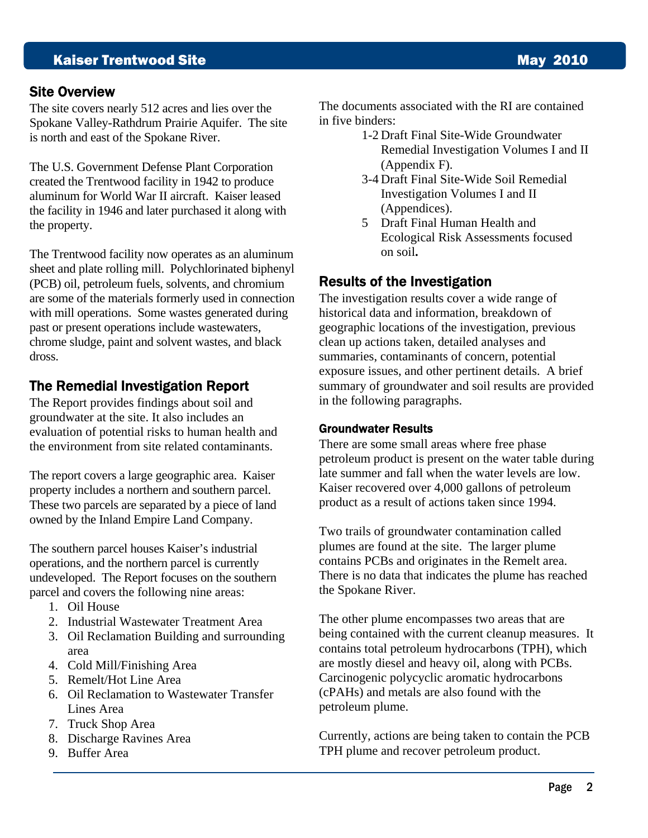### **Kaiser Trentwood Site May 2010**

#### Site Overview

The site covers nearly 512 acres and lies over the Spokane Valley-Rathdrum Prairie Aquifer. The site is north and east of the Spokane River.

The U.S. Government Defense Plant Corporation created the Trentwood facility in 1942 to produce aluminum for World War II aircraft. Kaiser leased the facility in 1946 and later purchased it along with the property.

The Trentwood facility now operates as an aluminum sheet and plate rolling mill. Polychlorinated biphenyl (PCB) oil, petroleum fuels, solvents, and chromium are some of the materials formerly used in connection with mill operations. Some wastes generated during past or present operations include wastewaters, chrome sludge, paint and solvent wastes, and black dross.

### The Remedial Investigation Report

The Report provides findings about soil and groundwater at the site. It also includes an evaluation of potential risks to human health and the environment from site related contaminants.

The report covers a large geographic area. Kaiser property includes a northern and southern parcel. These two parcels are separated by a piece of land owned by the Inland Empire Land Company.

The southern parcel houses Kaiser's industrial operations, and the northern parcel is currently undeveloped. The Report focuses on the southern parcel and covers the following nine areas:

- 1. Oil House
- 2. Industrial Wastewater Treatment Area
- 3. Oil Reclamation Building and surrounding area
- 4. Cold Mill/Finishing Area
- 5. Remelt/Hot Line Area
- 6. Oil Reclamation to Wastewater Transfer Lines Area
- 7. Truck Shop Area
- 8. Discharge Ravines Area
- 9. Buffer Area

The documents associated with the RI are contained in five binders:

- 1-2 Draft Final Site-Wide Groundwater Remedial Investigation Volumes I and II (Appendix F).
- 3-4 Draft Final Site-Wide Soil Remedial Investigation Volumes I and II (Appendices).
- 5 Draft Final Human Health and Ecological Risk Assessments focused on soil**.**

### Results of the Investigation

The investigation results cover a wide range of historical data and information, breakdown of geographic locations of the investigation, previous clean up actions taken, detailed analyses and summaries, contaminants of concern, potential exposure issues, and other pertinent details. A brief summary of groundwater and soil results are provided in the following paragraphs.

#### Groundwater Results

There are some small areas where free phase petroleum product is present on the water table during late summer and fall when the water levels are low. Kaiser recovered over 4,000 gallons of petroleum product as a result of actions taken since 1994.

Two trails of groundwater contamination called plumes are found at the site. The larger plume contains PCBs and originates in the Remelt area. There is no data that indicates the plume has reached the Spokane River.

The other plume encompasses two areas that are being contained with the current cleanup measures. It contains total petroleum hydrocarbons (TPH), which are mostly diesel and heavy oil, along with PCBs. Carcinogenic polycyclic aromatic hydrocarbons (cPAHs) and metals are also found with the petroleum plume.

Currently, actions are being taken to contain the PCB TPH plume and recover petroleum product.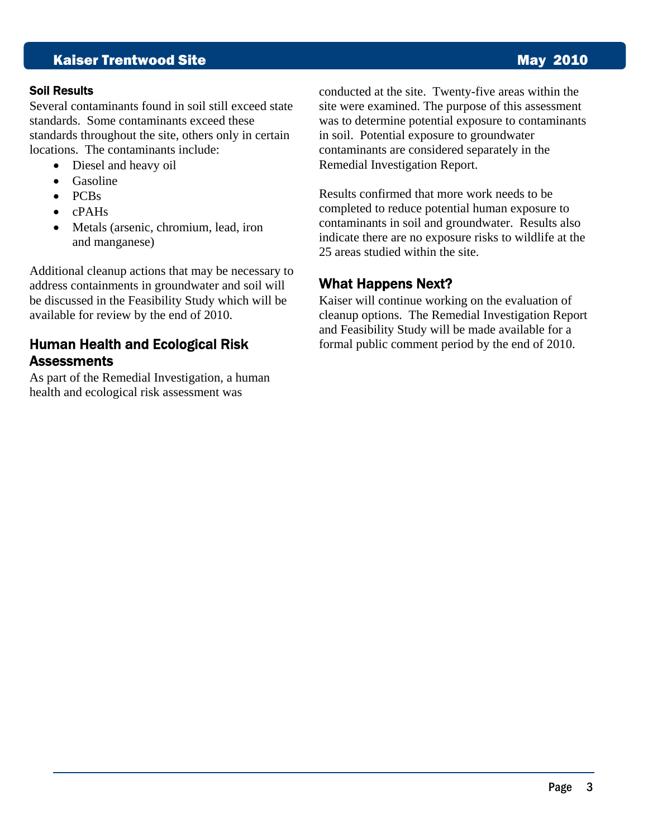### **Kaiser Trentwood Site May 2010**

#### Soil Results

Several contaminants found in soil still exceed state standards. Some contaminants exceed these standards throughout the site, others only in certain locations. The contaminants include:

- Diesel and heavy oil
- Gasoline
- PCBs
- cPAHs
- Metals (arsenic, chromium, lead, iron and manganese)

Additional cleanup actions that may be necessary to address containments in groundwater and soil will be discussed in the Feasibility Study which will be available for review by the end of 2010.

### Human Health and Ecological Risk **Assessments**

As part of the Remedial Investigation, a human health and ecological risk assessment was

conducted at the site. Twenty-five areas within the site were examined. The purpose of this assessment was to determine potential exposure to contaminants in soil. Potential exposure to groundwater contaminants are considered separately in the Remedial Investigation Report.

Results confirmed that more work needs to be completed to reduce potential human exposure to contaminants in soil and groundwater. Results also indicate there are no exposure risks to wildlife at the 25 areas studied within the site.

### What Happens Next?

Kaiser will continue working on the evaluation of cleanup options. The Remedial Investigation Report and Feasibility Study will be made available for a formal public comment period by the end of 2010.